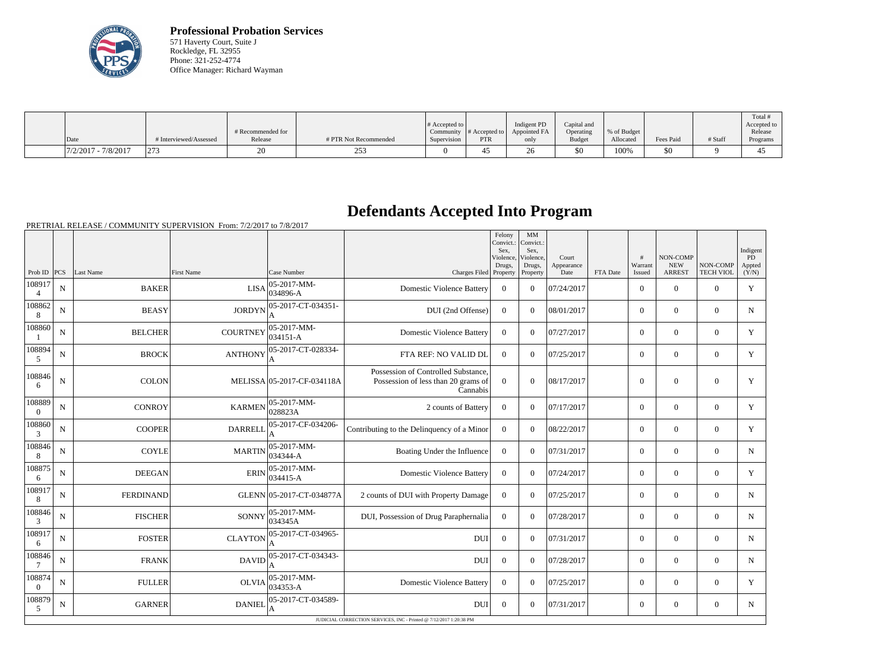

**Professional Probation Services** 571 Haverty Court, Suite J Rockledge, FL 32955 Phone: 321-252-4774 Office Manager: Richard Wayman

| Date                  | # Interviewed/Assessed | # Recommended for<br>Release | # PTR Not Recommended        | # Accepted to<br>Supervision | Community $\#$ Accepted to<br>PTR | Indigent PD<br>Appointed FA<br>only | Capital and<br>Operating<br><b>Budget</b> | % of Budget<br>Allocated | Fees Paid | # Staff | Total<br>Accepted to<br>Release<br>Programs |
|-----------------------|------------------------|------------------------------|------------------------------|------------------------------|-----------------------------------|-------------------------------------|-------------------------------------------|--------------------------|-----------|---------|---------------------------------------------|
|                       |                        |                              |                              |                              |                                   |                                     |                                           |                          |           |         |                                             |
| $7/2/2017 - 7/8/2017$ | 273                    |                              | $\sim$ $\sim$ $\sim$<br>25.4 |                              | 4.1                               | $\sim$                              | \$0                                       | 100%                     | \$0       |         | 4                                           |

## **Defendants Accepted Into Program**

PRETRIAL RELEASE / COMMUNITY SUPERVISION From: 7/2/2017 to 7/8/2017

|                    |             |                  |                 |                                 |                                                                                        | Felony<br>Convict.:<br>Sex.<br>Violence,<br>Drugs, | MM<br>Convict.:<br>Sex.<br>Violence,<br>Drugs, | Court<br>Appearance |          | #<br>Warrant   | NON-COMP<br><b>NEW</b> | NON-COMP         | Indigent<br>PD<br>Appted |
|--------------------|-------------|------------------|-----------------|---------------------------------|----------------------------------------------------------------------------------------|----------------------------------------------------|------------------------------------------------|---------------------|----------|----------------|------------------------|------------------|--------------------------|
| Prob ID $ PCS $    |             | Last Name        | First Name      | Case Number                     | Charges Filed Property                                                                 |                                                    | Property                                       | Date                | FTA Date | Issued         | <b>ARREST</b>          | <b>TECH VIOL</b> | (Y/N)                    |
| 108917             | $\mathbf N$ | <b>BAKER</b>     | <b>LISA</b>     | 05-2017-MM-<br>$ 034896-A$      | <b>Domestic Violence Battery</b>                                                       | $\overline{0}$                                     | $\Omega$                                       | 07/24/2017          |          | $\Omega$       | $\boldsymbol{0}$       | $\theta$         | Y                        |
| 108862<br>8        | $\mathbf N$ | <b>BEASY</b>     | <b>JORDYN</b>   | 05-2017-CT-034351-<br>A         | DUI (2nd Offense)                                                                      | $\overline{0}$                                     | $\Omega$                                       | 08/01/2017          |          | $\Omega$       | $\overline{0}$         | $\overline{0}$   | N                        |
| 108860             | ${\bf N}$   | <b>BELCHER</b>   | <b>COURTNEY</b> | $ 05 - 2017 - MM -$<br>034151-A | <b>Domestic Violence Battery</b>                                                       | $\overline{0}$                                     | $\Omega$                                       | 07/27/2017          |          | $\Omega$       | $\mathbf{0}$           | $\overline{0}$   | Y                        |
| 108894<br>5        | N           | <b>BROCK</b>     | <b>ANTHONY</b>  | 05-2017-CT-028334-<br>A         | FTA REF: NO VALID DL                                                                   | $\overline{0}$                                     | $\Omega$                                       | 07/25/2017          |          | $\Omega$       | $\mathbf{0}$           | $\mathbf{0}$     | Y                        |
| 108846<br>6        | $\mathbf N$ | <b>COLON</b>     |                 | MELISSA 05-2017-CF-034118A      | Possession of Controlled Substance,<br>Possession of less than 20 grams of<br>Cannabis | $\overline{0}$                                     | $\Omega$                                       | 08/17/2017          |          | $\Omega$       | $\overline{0}$         | $\Omega$         | Y                        |
| 108889<br>$\Omega$ | ${\bf N}$   | <b>CONROY</b>    | <b>KARMEN</b>   | $ 05-2017-MM-$<br>028823A       | 2 counts of Battery                                                                    | $\overline{0}$                                     | $\overline{0}$                                 | 07/17/2017          |          | $\Omega$       | $\mathbf{0}$           | $\mathbf{0}$     | Y                        |
| 108860<br>3        | ${\bf N}$   | <b>COOPER</b>    | <b>DARRELI</b>  | 05-2017-CF-034206-              | Contributing to the Delinquency of a Minor                                             | $\overline{0}$                                     | $\Omega$                                       | 08/22/2017          |          | $\Omega$       | $\boldsymbol{0}$       | $\boldsymbol{0}$ | Y                        |
| 108846<br>8        | N           | <b>COYLE</b>     | <b>MARTIN</b>   | $ 05-2017-MM-$<br>$ 034344 - A$ | Boating Under the Influence                                                            | $\Omega$                                           | $\Omega$                                       | 07/31/2017          |          | $\Omega$       | $\theta$               | $\theta$         | $N_{\rm}$                |
| 108875<br>6        | $\mathbf N$ | <b>DEEGAN</b>    | <b>ERIN</b>     | 05-2017-MM-<br>034415-A         | <b>Domestic Violence Battery</b>                                                       | $\overline{0}$                                     | $\overline{0}$                                 | 07/24/2017          |          | $\overline{0}$ | $\mathbf{0}$           | $\mathbf{0}$     | Y                        |
| 108917<br>8        | ${\bf N}$   | <b>FERDINAND</b> |                 | GLENN 05-2017-CT-034877A        | 2 counts of DUI with Property Damage                                                   | $\overline{0}$                                     | $\overline{0}$                                 | 07/25/2017          |          | $\overline{0}$ | $\mathbf{0}$           | $\boldsymbol{0}$ | $\mathbf N$              |
| 108846<br>3        | $\mathbf N$ | <b>FISCHER</b>   | <b>SONNY</b>    | $ 05-2017-MM-$<br>034345A       | DUI, Possession of Drug Paraphernalia                                                  | $\overline{0}$                                     | $\Omega$                                       | 07/28/2017          |          | $\Omega$       | $\theta$               | $\theta$         | $N_{\rm}$                |
| 108917<br>6        | N           | <b>FOSTER</b>    | <b>CLAYTON</b>  | 05-2017-CT-034965-              | <b>DUI</b>                                                                             | $\Omega$                                           | $\Omega$                                       | 07/31/2017          |          | $\Omega$       | $\overline{0}$         | $\Omega$         | N                        |
| 108846             | $\mathbf N$ | <b>FRANK</b>     | <b>DAVID</b>    | 05-2017-CT-034343-              | <b>DUI</b>                                                                             | $\overline{0}$                                     | $\Omega$                                       | 07/28/2017          |          | $\overline{0}$ | $\mathbf{0}$           | $\boldsymbol{0}$ | $N_{\rm}$                |
| 108874<br>$\Omega$ | $\mathbf N$ | <b>FULLER</b>    | <b>OLVIA</b>    | $ 05-2017-MM-$<br>$ 034353-A$   | <b>Domestic Violence Battery</b>                                                       | $\overline{0}$                                     | $\Omega$                                       | 07/25/2017          |          | $\Omega$       | $\overline{0}$         | $\overline{0}$   | Y                        |
| 108879<br>5        | $\mathbf N$ | <b>GARNER</b>    | <b>DANIEL</b>   | 05-2017-CT-034589-<br>А         | <b>DUI</b>                                                                             | $\Omega$                                           | $\Omega$                                       | 07/31/2017          |          | $\Omega$       | $\boldsymbol{0}$       | $\theta$         | N                        |
|                    |             |                  |                 |                                 | JUDICIAL CORRECTION SERVICES, INC - Printed @ 7/12/2017 1:20:38 PM                     |                                                    |                                                |                     |          |                |                        |                  |                          |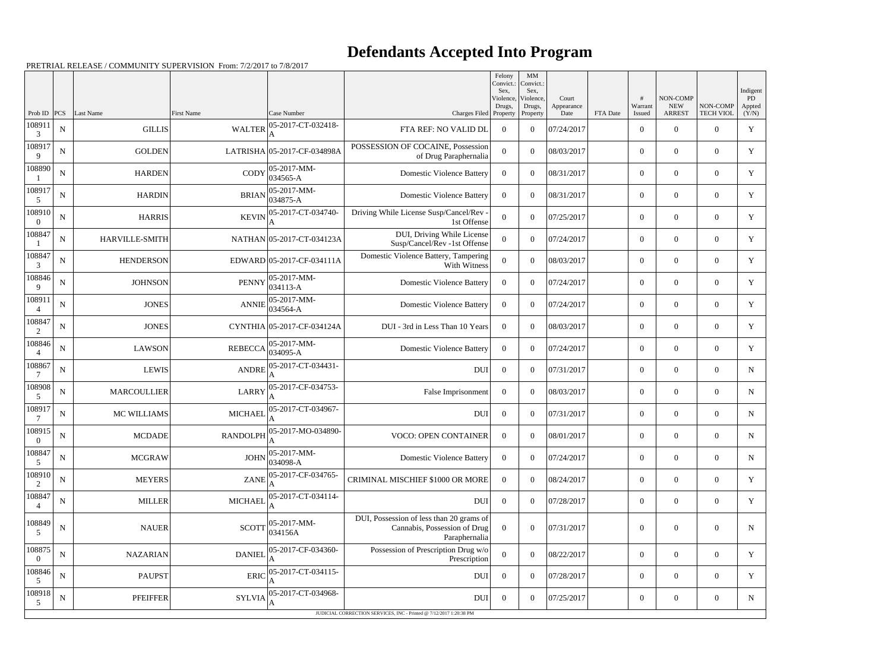## **Defendants Accepted Into Program**

PRETRIAL RELEASE / COMMUNITY SUPERVISION From: 7/2/2017 to 7/8/2017

|                          |             |                       |                        |                             |                                                                                           | Felony<br>Convict.:<br>Sex. | MM<br>Convict.:<br>Sex,         |                             |          |                   |                                         |                              | Indigent                     |
|--------------------------|-------------|-----------------------|------------------------|-----------------------------|-------------------------------------------------------------------------------------------|-----------------------------|---------------------------------|-----------------------------|----------|-------------------|-----------------------------------------|------------------------------|------------------------------|
| Prob ID                  | PCS         | Last Name             | <b>First Name</b>      | Case Number                 | Charges Filed Property                                                                    | Violence,<br>Drugs,         | Violence,<br>Drugs,<br>Property | Court<br>Appearance<br>Date | FTA Date | Warrant<br>Issued | NON-COMP<br><b>NEW</b><br><b>ARREST</b> | NON-COMP<br><b>TECH VIOL</b> | <b>PD</b><br>Appted<br>(Y/N) |
| 108911<br>3              | ${\bf N}$   | <b>GILLIS</b>         | <b>WALTER</b>          | 05-2017-CT-032418-          | FTA REF: NO VALID DL                                                                      | $\theta$                    | $\theta$                        | 07/24/2017                  |          | $\overline{0}$    | $\Omega$                                | $\Omega$                     | $\mathbf Y$                  |
| 108917<br>9              | ${\bf N}$   | <b>GOLDEN</b>         |                        | LATRISHA 05-2017-CF-034898A | POSSESSION OF COCAINE, Possession<br>of Drug Paraphernalia                                | $\Omega$                    | $\theta$                        | 08/03/2017                  |          | $\overline{0}$    | $\Omega$                                | $\Omega$                     | Y                            |
| 108890                   | ${\bf N}$   | <b>HARDEN</b>         | CODY                   | 05-2017-MM-<br>034565-A     | <b>Domestic Violence Battery</b>                                                          | $\overline{0}$              | $\theta$                        | 08/31/2017                  |          | $\overline{0}$    | $\Omega$                                | $\Omega$                     | Y                            |
| 108917<br>5              | ${\bf N}$   | <b>HARDIN</b>         | <b>BRIAN</b>           | 05-2017-MM-<br>034875-A     | <b>Domestic Violence Battery</b>                                                          | $\Omega$                    | $\theta$                        | 08/31/2017                  |          | $\overline{0}$    | $\overline{0}$                          | $\theta$                     | Y                            |
| 108910<br>$\Omega$       | ${\bf N}$   | <b>HARRIS</b>         | <b>KEVIN</b>           | 05-2017-CT-034740-          | Driving While License Susp/Cancel/Rev -<br>1st Offense                                    | $\Omega$                    | $\theta$                        | 07/25/2017                  |          | $\overline{0}$    | $\Omega$                                | $\Omega$                     | $\mathbf Y$                  |
| 108847                   | ${\bf N}$   | <b>HARVILLE-SMITH</b> |                        | NATHAN 05-2017-CT-034123A   | DUI, Driving While License<br>Susp/Cancel/Rev -1st Offense                                | $\Omega$                    | $\Omega$                        | 07/24/2017                  |          | $\overline{0}$    | $\Omega$                                | $\Omega$                     | Y                            |
| 108847<br>3              | ${\bf N}$   | <b>HENDERSON</b>      |                        | EDWARD 05-2017-CF-034111A   | Domestic Violence Battery, Tampering<br>With Witness                                      | $\theta$                    | $\Omega$                        | 08/03/2017                  |          | $\overline{0}$    | $\Omega$                                | $\Omega$                     | Y                            |
| 108846<br>9              | ${\bf N}$   | <b>JOHNSON</b>        | <b>PENNY</b>           | 05-2017-MM-<br>034113-A     | <b>Domestic Violence Battery</b>                                                          | $\Omega$                    | $\theta$                        | 07/24/2017                  |          | $\overline{0}$    | $\overline{0}$                          | $\theta$                     | Y                            |
| 108911<br>$\Delta$       | ${\bf N}$   | <b>JONES</b>          | <b>ANNIE</b>           | 05-2017-MM-<br>034564-A     | <b>Domestic Violence Battery</b>                                                          | $\overline{0}$              | $\theta$                        | 07/24/2017                  |          | $\overline{0}$    | $\Omega$                                | $\Omega$                     | $\mathbf Y$                  |
| 108847<br>2              | ${\bf N}$   | <b>JONES</b>          |                        | CYNTHIA 05-2017-CF-034124A  | DUI - 3rd in Less Than 10 Years                                                           | $\theta$                    | $\Omega$                        | 08/03/2017                  |          | $\overline{0}$    | $\theta$                                | $\Omega$                     | $\mathbf Y$                  |
| 108846<br>$\Delta$       | $\mathbf N$ | <b>LAWSON</b>         | <b>REBECCA</b>         | 05-2017-MM-<br>034095-A     | <b>Domestic Violence Battery</b>                                                          | $\overline{0}$              | $\theta$                        | 07/24/2017                  |          | $\Omega$          | $\Omega$                                | $\Omega$                     | Y                            |
| 108867<br>$\tau$         | ${\bf N}$   | <b>LEWIS</b>          | <b>ANDRE</b>           | 05-2017-CT-034431-          | <b>DUI</b>                                                                                | $\overline{0}$              | $\theta$                        | 07/31/2017                  |          | $\overline{0}$    | $\overline{0}$                          | $\theta$                     | $\mathbf N$                  |
| 108908<br>5              | $\mathbf N$ | <b>MARCOULLIER</b>    | <b>LARRY</b>           | 05-2017-CF-034753-          | False Imprisonment                                                                        | $\overline{0}$              | $\theta$                        | 08/03/2017                  |          | $\overline{0}$    | $\Omega$                                | $\Omega$                     | N                            |
| 108917                   | ${\bf N}$   | MC WILLIAMS           | <b>MICHAEL</b>         | 05-2017-CT-034967-          | DUI                                                                                       | $\overline{0}$              | $\theta$                        | 07/31/2017                  |          | $\overline{0}$    | $\theta$                                | $\theta$                     | $\mathbf N$                  |
| 108915<br>$\overline{0}$ | N           | <b>MCDADE</b>         | $RANDOLPH _A^{\cup J}$ | 05-2017-MO-034890-          | VOCO: OPEN CONTAINER                                                                      | $\bf{0}$                    | $\theta$                        | 08/01/2017                  |          | $\theta$          | $\overline{0}$                          | $\overline{0}$               | $\mathbf N$                  |
| 108847<br>5              | ${\bf N}$   | <b>MCGRAW</b>         | <b>JOHN</b>            | 05-2017-MM-<br>034098-A     | <b>Domestic Violence Battery</b>                                                          | $\overline{0}$              | $\overline{0}$                  | 07/24/2017                  |          | $\boldsymbol{0}$  | $\overline{0}$                          | $\overline{0}$               | $\mathbf N$                  |
| 108910<br>2              | $\mathbf N$ | <b>MEYERS</b>         | <b>ZANE</b>            | 05-2017-CF-034765-          | CRIMINAL MISCHIEF \$1000 OR MORE                                                          | $\overline{0}$              | $\overline{0}$                  | 08/24/2017                  |          | $\boldsymbol{0}$  | $\overline{0}$                          | $\overline{0}$               | Y                            |
| 108847                   | ${\bf N}$   | <b>MILLER</b>         | <b>MICHAEI</b>         | 05-2017-CT-034114-          | <b>DUI</b>                                                                                | $\overline{0}$              | $\theta$                        | 07/28/2017                  |          | $\overline{0}$    | $\overline{0}$                          | $\overline{0}$               | Y                            |
| 108849<br>5              | $\mathbf N$ | <b>NAUER</b>          | <b>SCOTT</b>           | 05-2017-MM-<br>034156A      | DUI, Possession of less than 20 grams of<br>Cannabis, Possession of Drug<br>Paraphernalia | $\theta$                    | $\overline{0}$                  | 07/31/2017                  |          | $\boldsymbol{0}$  | $\overline{0}$                          | $\overline{0}$               | N                            |
| 108875<br>$\overline{0}$ | ${\bf N}$   | <b>NAZARIAN</b>       | <b>DANIEI</b>          | 05-2017-CF-034360-<br>А     | Possession of Prescription Drug w/o<br>Prescription                                       | $\overline{0}$              | $\overline{0}$                  | 08/22/2017                  |          | $\overline{0}$    | $\overline{0}$                          | $\overline{0}$               | Y                            |
| 108846<br>5              | ${\bf N}$   | <b>PAUPST</b>         | <b>ERIC</b>            | 05-2017-CT-034115-          | <b>DUI</b>                                                                                | $\overline{0}$              | $\overline{0}$                  | 07/28/2017                  |          | $\boldsymbol{0}$  | $\overline{0}$                          | $\overline{0}$               | Y                            |
| 108918<br>5              | ${\bf N}$   | <b>PFEIFFER</b>       | <b>SYLVIA</b>          | 05-2017-CT-034968-          | <b>DUI</b>                                                                                | $\overline{0}$              | $\overline{0}$                  | 07/25/2017                  |          | $\overline{0}$    | $\overline{0}$                          | $\overline{0}$               | N                            |
|                          |             |                       |                        |                             | JUDICIAL CORRECTION SERVICES, INC - Printed @ 7/12/2017 1:20:38 PM                        |                             |                                 |                             |          |                   |                                         |                              |                              |